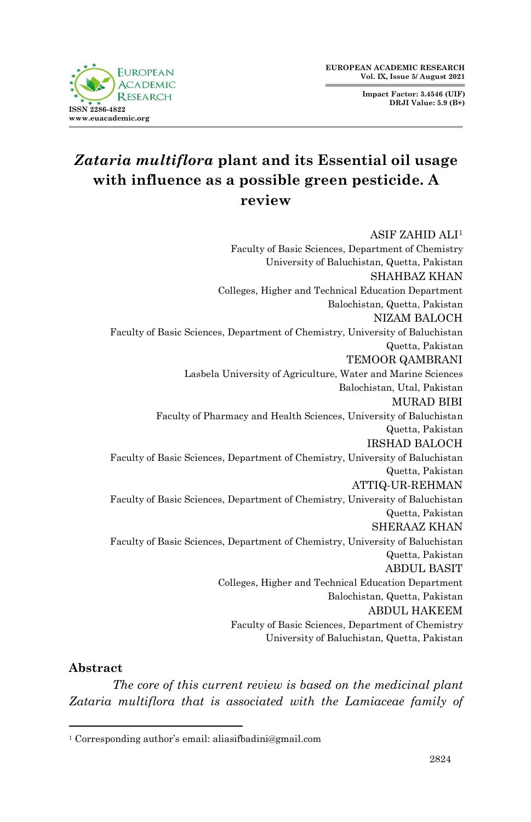**Impact Factor: 3.4546 (UIF) DRJI Value: 5.9 (B+)**



# *Zataria multiflora* **plant and its Essential oil usage with influence as a possible green pesticide. A review**

ASIF ZAHID ALI<sup>1</sup> Faculty of Basic Sciences, Department of Chemistry University of Baluchistan, Quetta, Pakistan SHAHBAZ KHAN Colleges, Higher and Technical Education Department Balochistan, Quetta, Pakistan NIZAM BALOCH Faculty of Basic Sciences, Department of Chemistry, University of Baluchistan Quetta, Pakistan TEMOOR QAMBRANI Lasbela University of Agriculture, Water and Marine Sciences Balochistan, Utal, Pakistan MURAD BIBI Faculty of Pharmacy and Health Sciences, University of Baluchistan Quetta, Pakistan IRSHAD BALOCH Faculty of Basic Sciences, Department of Chemistry, University of Baluchistan Quetta, Pakistan ATTIQ-UR-REHMAN Faculty of Basic Sciences, Department of Chemistry, University of Baluchistan Quetta, Pakistan SHERAAZ KHAN Faculty of Basic Sciences, Department of Chemistry, University of Baluchistan Quetta, Pakistan ABDUL BASIT Colleges, Higher and Technical Education Department Balochistan, Quetta, Pakistan ABDUL HAKEEM Faculty of Basic Sciences, Department of Chemistry University of Baluchistan, Quetta, Pakistan

### **Abstract**

1

*The core of this current review is based on the medicinal plant Zataria multiflora that is associated with the Lamiaceae family of* 

<sup>1</sup> Corresponding author's email: aliasifbadini@gmail.com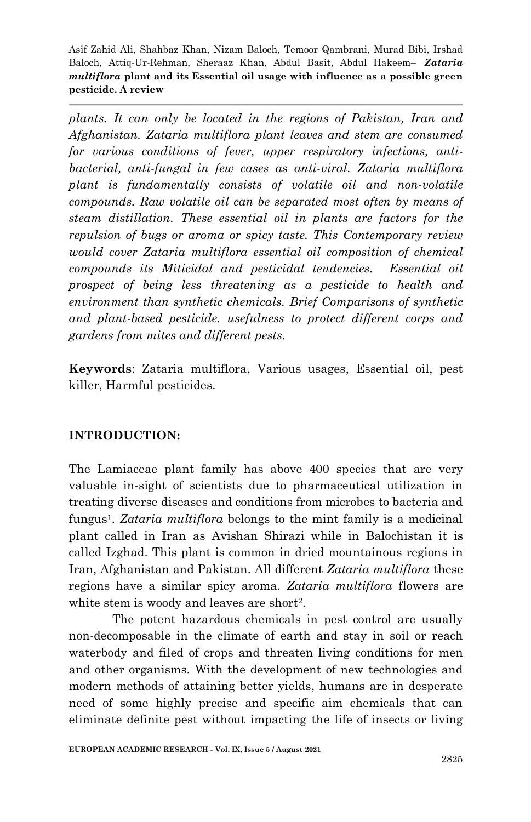*plants. It can only be located in the regions of Pakistan, Iran and Afghanistan. Zataria multiflora plant leaves and stem are consumed for various conditions of fever, upper respiratory infections, antibacterial, anti-fungal in few cases as anti-viral. Zataria multiflora plant is fundamentally consists of volatile oil and non-volatile compounds. Raw volatile oil can be separated most often by means of steam distillation. These essential oil in plants are factors for the repulsion of bugs or aroma or spicy taste. This Contemporary review would cover Zataria multiflora essential oil composition of chemical compounds its Miticidal and pesticidal tendencies. Essential oil prospect of being less threatening as a pesticide to health and environment than synthetic chemicals. Brief Comparisons of synthetic and plant-based pesticide. usefulness to protect different corps and gardens from mites and different pests.*

**Keywords**: Zataria multiflora, Various usages, Essential oil, pest killer, Harmful pesticides.

### **INTRODUCTION:**

The Lamiaceae plant family has above 400 species that are very valuable in-sight of scientists due to pharmaceutical utilization in treating diverse diseases and conditions from microbes to bacteria and fungus1. *Zataria multiflora* belongs to the mint family is a medicinal plant called in Iran as Avishan Shirazi while in Balochistan it is called Izghad. This plant is common in dried mountainous regions in Iran, Afghanistan and Pakistan. All different *Zataria multiflora* these regions have a similar spicy aroma. *Zataria multiflora* flowers are white stem is woody and leaves are short<sup>2</sup>.

The potent hazardous chemicals in pest control are usually non-decomposable in the climate of earth and stay in soil or reach waterbody and filed of crops and threaten living conditions for men and other organisms. With the development of new technologies and modern methods of attaining better yields, humans are in desperate need of some highly precise and specific aim chemicals that can eliminate definite pest without impacting the life of insects or living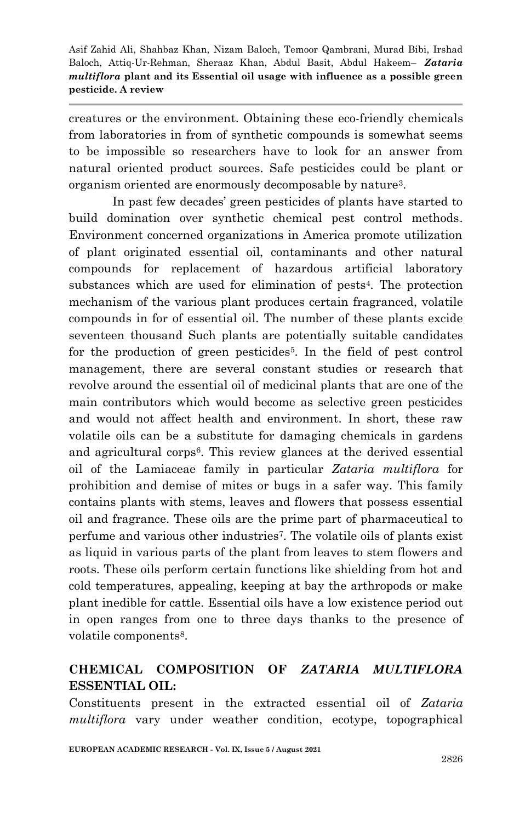creatures or the environment. Obtaining these eco-friendly chemicals from laboratories in from of synthetic compounds is somewhat seems to be impossible so researchers have to look for an answer from natural oriented product sources. Safe pesticides could be plant or organism oriented are enormously decomposable by nature3.

In past few decades' green pesticides of plants have started to build domination over synthetic chemical pest control methods. Environment concerned organizations in America promote utilization of plant originated essential oil, contaminants and other natural compounds for replacement of hazardous artificial laboratory substances which are used for elimination of pests4. The protection mechanism of the various plant produces certain fragranced, volatile compounds in for of essential oil. The number of these plants excide seventeen thousand Such plants are potentially suitable candidates for the production of green pesticides<sup>5</sup>. In the field of pest control management, there are several constant studies or research that revolve around the essential oil of medicinal plants that are one of the main contributors which would become as selective green pesticides and would not affect health and environment. In short, these raw volatile oils can be a substitute for damaging chemicals in gardens and agricultural corps6. This review glances at the derived essential oil of the Lamiaceae family in particular *Zataria multiflora* for prohibition and demise of mites or bugs in a safer way. This family contains plants with stems, leaves and flowers that possess essential oil and fragrance. These oils are the prime part of pharmaceutical to perfume and various other industries7. The volatile oils of plants exist as liquid in various parts of the plant from leaves to stem flowers and roots. These oils perform certain functions like shielding from hot and cold temperatures, appealing, keeping at bay the arthropods or make plant inedible for cattle. Essential oils have a low existence period out in open ranges from one to three days thanks to the presence of volatile components<sup>8</sup>.

### **CHEMICAL COMPOSITION OF** *ZATARIA MULTIFLORA* **ESSENTIAL OIL:**

Constituents present in the extracted essential oil of *Zataria multiflora* vary under weather condition, ecotype, topographical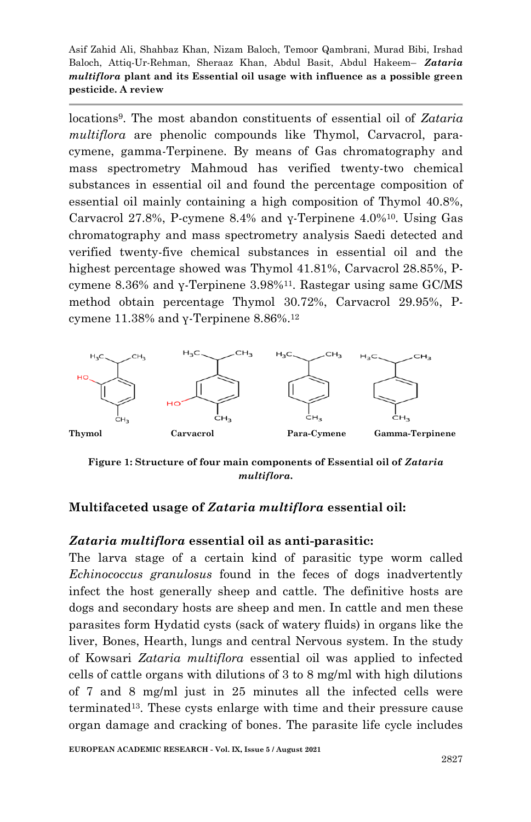locations9. The most abandon constituents of essential oil of *Zataria multiflora* are phenolic compounds like Thymol, Carvacrol, paracymene, gamma-Terpinene. By means of Gas chromatography and mass spectrometry Mahmoud has verified twenty-two chemical substances in essential oil and found the percentage composition of essential oil mainly containing a high composition of Thymol 40.8%, Carvacrol 27.8%, P-cymene 8.4% and γ-Terpinene 4.0%10. Using Gas chromatography and mass spectrometry analysis Saedi detected and verified twenty-five chemical substances in essential oil and the highest percentage showed was Thymol 41.81%, Carvacrol 28.85%, Pcymene 8.36% and  $\gamma$ -Terpinene 3.98%<sup>11</sup>. Rastegar using same GC/MS method obtain percentage Thymol 30.72%, Carvacrol 29.95%, Pcymene 11.38% and γ-Terpinene 8.86%. 12



**Figure 1: Structure of four main components of Essential oil of** *Zataria multiflora.*

### **Multifaceted usage of** *Zataria multiflora* **essential oil:**

#### *Zataria multiflora* **essential oil as anti-parasitic:**

The larva stage of a certain kind of parasitic type worm called *Echinococcus granulosus* found in the feces of dogs inadvertently infect the host generally sheep and cattle. The definitive hosts are dogs and secondary hosts are sheep and men. In cattle and men these parasites form Hydatid cysts (sack of watery fluids) in organs like the liver, Bones, Hearth, lungs and central Nervous system. In the study of Kowsari *Zataria multiflora* essential oil was applied to infected cells of cattle organs with dilutions of 3 to 8 mg/ml with high dilutions of 7 and 8 mg/ml just in 25 minutes all the infected cells were terminated13. These cysts enlarge with time and their pressure cause organ damage and cracking of bones. The parasite life cycle includes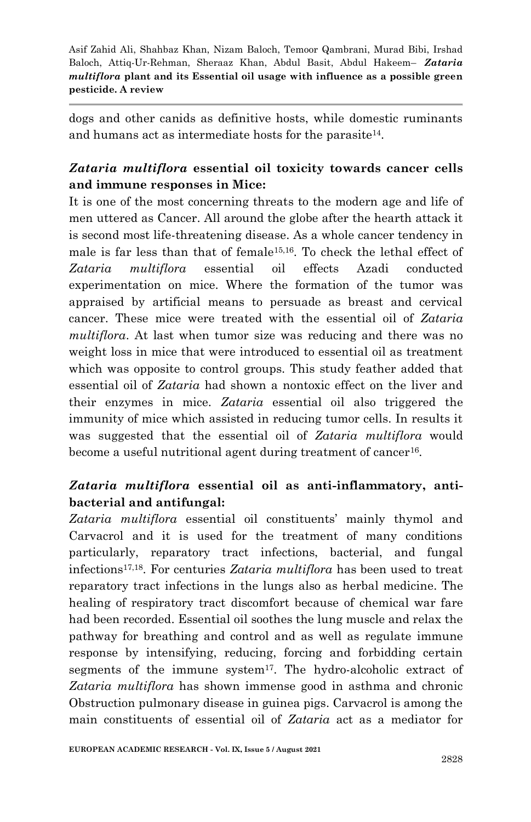dogs and other canids as definitive hosts, while domestic ruminants and humans act as intermediate hosts for the parasite14.

# *Zataria multiflora* **essential oil toxicity towards cancer cells and immune responses in Mice:**

It is one of the most concerning threats to the modern age and life of men uttered as Cancer. All around the globe after the hearth attack it is second most life-threatening disease. As a whole cancer tendency in male is far less than that of female15,16. To check the lethal effect of *Zataria multiflora* essential oil effects Azadi conducted experimentation on mice. Where the formation of the tumor was appraised by artificial means to persuade as breast and cervical cancer. These mice were treated with the essential oil of *Zataria multiflora*. At last when tumor size was reducing and there was no weight loss in mice that were introduced to essential oil as treatment which was opposite to control groups. This study feather added that essential oil of *Zataria* had shown a nontoxic effect on the liver and their enzymes in mice. *Zataria* essential oil also triggered the immunity of mice which assisted in reducing tumor cells. In results it was suggested that the essential oil of *Zataria multiflora* would become a useful nutritional agent during treatment of cancer<sup>16</sup>.

# *Zataria multiflora* **essential oil as anti-inflammatory, antibacterial and antifungal:**

*Zataria multiflora* essential oil constituents' mainly thymol and Carvacrol and it is used for the treatment of many conditions particularly, reparatory tract infections, bacterial, and fungal infections17,18. For centuries *Zataria multiflora* has been used to treat reparatory tract infections in the lungs also as herbal medicine. The healing of respiratory tract discomfort because of chemical war fare had been recorded. Essential oil soothes the lung muscle and relax the pathway for breathing and control and as well as regulate immune response by intensifying, reducing, forcing and forbidding certain segments of the immune system $17$ . The hydro-alcoholic extract of *Zataria multiflora* has shown immense good in asthma and chronic Obstruction pulmonary disease in guinea pigs. Carvacrol is among the main constituents of essential oil of *Zataria* act as a mediator for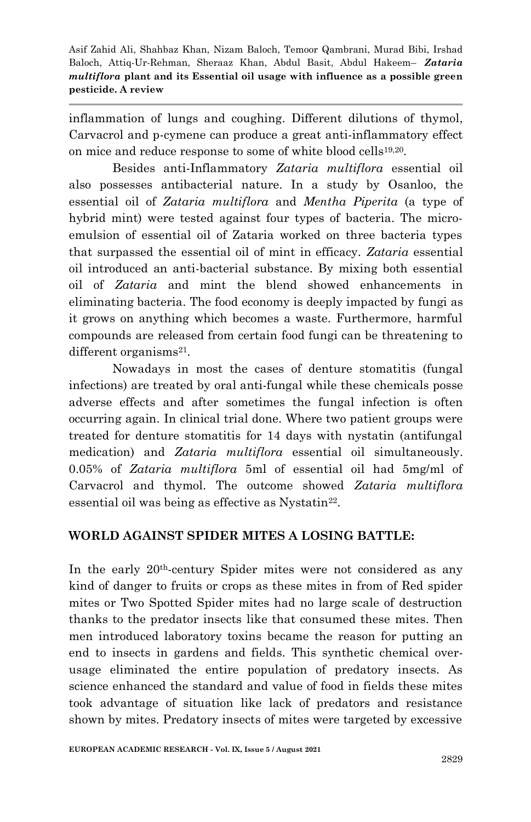inflammation of lungs and coughing. Different dilutions of thymol, Carvacrol and p-cymene can produce a great anti-inflammatory effect on mice and reduce response to some of white blood cells<sup>19,20</sup>.

Besides anti-Inflammatory *Zataria multiflora* essential oil also possesses antibacterial nature. In a study by Osanloo, the essential oil of *Zataria multiflora* and *Mentha Piperita* (a type of hybrid mint) were tested against four types of bacteria. The microemulsion of essential oil of Zataria worked on three bacteria types that surpassed the essential oil of mint in efficacy. *Zataria* essential oil introduced an anti-bacterial substance. By mixing both essential oil of *Zataria* and mint the blend showed enhancements in eliminating bacteria. The food economy is deeply impacted by fungi as it grows on anything which becomes a waste. Furthermore, harmful compounds are released from certain food fungi can be threatening to different organisms<sup>21</sup>.

Nowadays in most the cases of denture stomatitis (fungal infections) are treated by oral anti-fungal while these chemicals posse adverse effects and after sometimes the fungal infection is often occurring again. In clinical trial done. Where two patient groups were treated for denture stomatitis for 14 days with nystatin (antifungal medication) and *Zataria multiflora* essential oil simultaneously. 0.05% of *Zataria multiflora* 5ml of essential oil had 5mg/ml of Carvacrol and thymol. The outcome showed *Zataria multiflora* essential oil was being as effective as Nystatin<sup>22</sup>.

### **WORLD AGAINST SPIDER MITES A LOSING BATTLE:**

In the early 20th-century Spider mites were not considered as any kind of danger to fruits or crops as these mites in from of Red spider mites or Two Spotted Spider mites had no large scale of destruction thanks to the predator insects like that consumed these mites. Then men introduced laboratory toxins became the reason for putting an end to insects in gardens and fields. This synthetic chemical overusage eliminated the entire population of predatory insects. As science enhanced the standard and value of food in fields these mites took advantage of situation like lack of predators and resistance shown by mites. Predatory insects of mites were targeted by excessive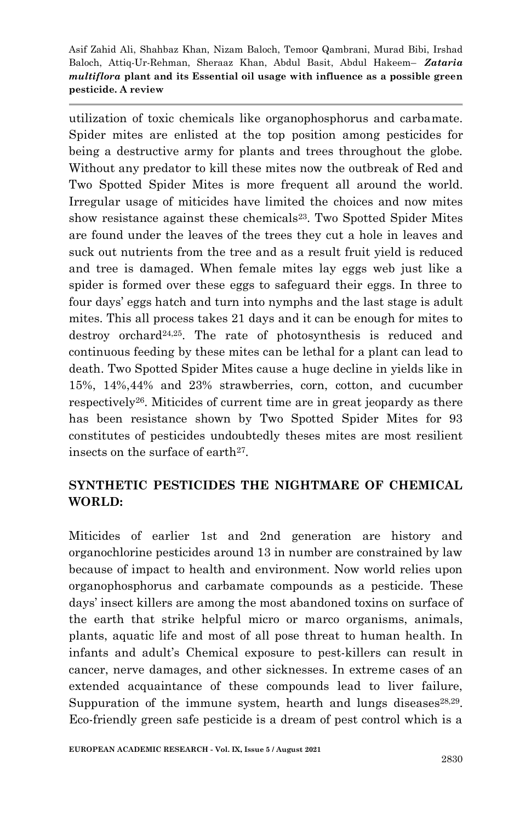utilization of toxic chemicals like organophosphorus and carbamate. Spider mites are enlisted at the top position among pesticides for being a destructive army for plants and trees throughout the globe. Without any predator to kill these mites now the outbreak of Red and Two Spotted Spider Mites is more frequent all around the world. Irregular usage of miticides have limited the choices and now mites show resistance against these chemicals<sup>23</sup>. Two Spotted Spider Mites are found under the leaves of the trees they cut a hole in leaves and suck out nutrients from the tree and as a result fruit yield is reduced and tree is damaged. When female mites lay eggs web just like a spider is formed over these eggs to safeguard their eggs. In three to four days' eggs hatch and turn into nymphs and the last stage is adult mites. This all process takes 21 days and it can be enough for mites to destroy orchard24,25. The rate of photosynthesis is reduced and continuous feeding by these mites can be lethal for a plant can lead to death. Two Spotted Spider Mites cause a huge decline in yields like in 15%, 14%,44% and 23% strawberries, corn, cotton, and cucumber respectively26. Miticides of current time are in great jeopardy as there has been resistance shown by Two Spotted Spider Mites for 93 constitutes of pesticides undoubtedly theses mites are most resilient insects on the surface of earth27.

### **SYNTHETIC PESTICIDES THE NIGHTMARE OF CHEMICAL WORLD:**

Miticides of earlier 1st and 2nd generation are history and organochlorine pesticides around 13 in number are constrained by law because of impact to health and environment. Now world relies upon organophosphorus and carbamate compounds as a pesticide. These days' insect killers are among the most abandoned toxins on surface of the earth that strike helpful micro or marco organisms, animals, plants, aquatic life and most of all pose threat to human health. In infants and adult's Chemical exposure to pest-killers can result in cancer, nerve damages, and other sicknesses. In extreme cases of an extended acquaintance of these compounds lead to liver failure, Suppuration of the immune system, hearth and lungs diseases $28,29$ . Eco-friendly green safe pesticide is a dream of pest control which is a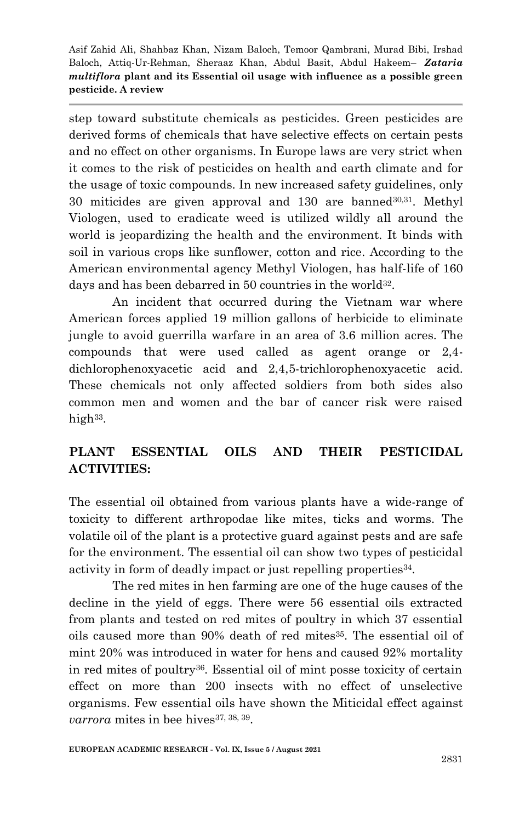step toward substitute chemicals as pesticides. Green pesticides are derived forms of chemicals that have selective effects on certain pests and no effect on other organisms. In Europe laws are very strict when it comes to the risk of pesticides on health and earth climate and for the usage of toxic compounds. In new increased safety guidelines, only 30 miticides are given approval and 130 are banned30,31. Methyl Viologen, used to eradicate weed is utilized wildly all around the world is jeopardizing the health and the environment. It binds with soil in various crops like sunflower, cotton and rice. According to the American environmental agency Methyl Viologen, has half-life of 160 days and has been debarred in 50 countries in the world<sup>32</sup>.

An incident that occurred during the Vietnam war where American forces applied 19 million gallons of herbicide to eliminate jungle to avoid guerrilla warfare in an area of 3.6 million acres. The compounds that were used called as agent orange or 2,4 dichlorophenoxyacetic acid and 2,4,5-trichlorophenoxyacetic acid. These chemicals not only affected soldiers from both sides also common men and women and the bar of cancer risk were raised high<sup>33</sup>.

# **PLANT ESSENTIAL OILS AND THEIR PESTICIDAL ACTIVITIES:**

The essential oil obtained from various plants have a wide-range of toxicity to different arthropodae like mites, ticks and worms. The volatile oil of the plant is a protective guard against pests and are safe for the environment. The essential oil can show two types of pesticidal activity in form of deadly impact or just repelling properties<sup>34</sup>.

The red mites in hen farming are one of the huge causes of the decline in the yield of eggs. There were 56 essential oils extracted from plants and tested on red mites of poultry in which 37 essential oils caused more than 90% death of red mites<sup>35</sup>. The essential oil of mint 20% was introduced in water for hens and caused 92% mortality in red mites of poultry36. Essential oil of mint posse toxicity of certain effect on more than 200 insects with no effect of unselective organisms. Few essential oils have shown the Miticidal effect against *varrora* mites in bee hives<sup>37, 38, 39.</sup>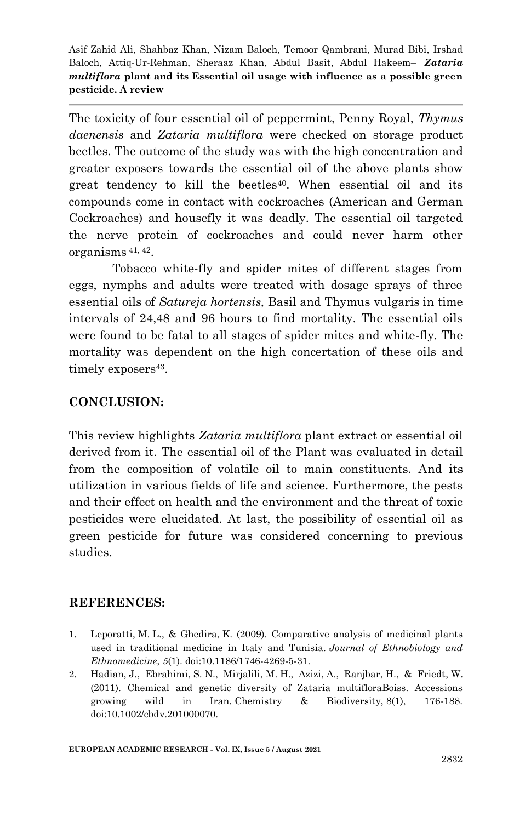The toxicity of four essential oil of peppermint, Penny Royal, *Thymus daenensis* and *Zataria multiflora* were checked on storage product beetles. The outcome of the study was with the high concentration and greater exposers towards the essential oil of the above plants show great tendency to kill the beetles<sup>40</sup>. When essential oil and its compounds come in contact with cockroaches (American and German Cockroaches) and housefly it was deadly. The essential oil targeted the nerve protein of cockroaches and could never harm other organisms 41, 42.

Tobacco white-fly and spider mites of different stages from eggs, nymphs and adults were treated with dosage sprays of three essential oils of *Satureja hortensis,* Basil and Thymus vulgaris in time intervals of 24,48 and 96 hours to find mortality. The essential oils were found to be fatal to all stages of spider mites and white-fly. The mortality was dependent on the high concertation of these oils and timely exposers<sup>43</sup>.

### **CONCLUSION:**

This review highlights *Zataria multiflora* plant extract or essential oil derived from it. The essential oil of the Plant was evaluated in detail from the composition of volatile oil to main constituents. And its utilization in various fields of life and science. Furthermore, the pests and their effect on health and the environment and the threat of toxic pesticides were elucidated. At last, the possibility of essential oil as green pesticide for future was considered concerning to previous studies.

### **REFERENCES:**

- 1. Leporatti, M. L., & Ghedira, K. (2009). Comparative analysis of medicinal plants used in traditional medicine in Italy and Tunisia. *Journal of Ethnobiology and Ethnomedicine*, *5*(1). doi:10.1186/1746-4269-5-31.
- 2. Hadian, J., Ebrahimi, S. N., Mirjalili, M. H., Azizi, A., Ranjbar, H., & Friedt, W. (2011). Chemical and genetic diversity of Zataria multifloraBoiss. Accessions growing wild in Iran. Chemistry & Biodiversity, 8(1), 176-188. doi:10.1002/cbdv.201000070.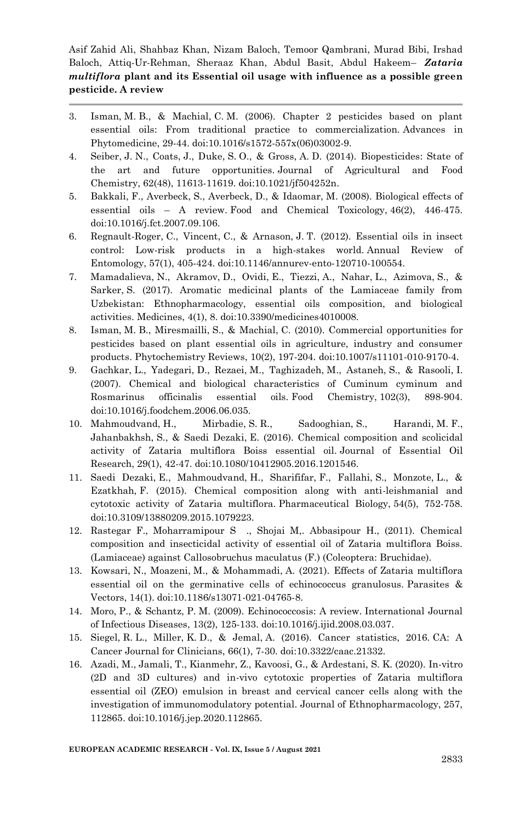- 3. Isman, M. B., & Machial, C. M. (2006). Chapter 2 pesticides based on plant essential oils: From traditional practice to commercialization. Advances in Phytomedicine, 29-44. doi:10.1016/s1572-557x(06)03002-9.
- 4. Seiber, J. N., Coats, J., Duke, S. O., & Gross, A. D. (2014). Biopesticides: State of the art and future opportunities. Journal of Agricultural and Food Chemistry, 62(48), 11613-11619. doi:10.1021/jf504252n.
- 5. Bakkali, F., Averbeck, S., Averbeck, D., & Idaomar, M. (2008). Biological effects of essential oils – A review. Food and Chemical Toxicology, 46(2), 446-475. doi:10.1016/j.fct.2007.09.106.
- 6. Regnault-Roger, C., Vincent, C., & Arnason, J. T. (2012). Essential oils in insect control: Low-risk products in a high-stakes world. Annual Review of Entomology, 57(1), 405-424. doi:10.1146/annurev-ento-120710-100554.
- 7. Mamadalieva, N., Akramov, D., Ovidi, E., Tiezzi, A., Nahar, L., Azimova, S., & Sarker, S. (2017). Aromatic medicinal plants of the Lamiaceae family from Uzbekistan: Ethnopharmacology, essential oils composition, and biological activities. Medicines, 4(1), 8. doi:10.3390/medicines4010008.
- 8. Isman, M. B., Miresmailli, S., & Machial, C. (2010). Commercial opportunities for pesticides based on plant essential oils in agriculture, industry and consumer products. Phytochemistry Reviews, 10(2), 197-204. doi:10.1007/s11101-010-9170-4.
- 9. Gachkar, L., Yadegari, D., Rezaei, M., Taghizadeh, M., Astaneh, S., & Rasooli, I. (2007). Chemical and biological characteristics of Cuminum cyminum and Rosmarinus officinalis essential oils. Food Chemistry, 102(3), 898-904. doi:10.1016/j.foodchem.2006.06.035.
- 10. Mahmoudvand, H., Mirbadie, S. R., Sadooghian, S., Harandi, M. F., Jahanbakhsh, S., & Saedi Dezaki, E. (2016). Chemical composition and scolicidal activity of Zataria multiflora Boiss essential oil. Journal of Essential Oil Research, 29(1), 42-47. doi:10.1080/10412905.2016.1201546.
- 11. Saedi Dezaki, E., Mahmoudvand, H., Sharififar, F., Fallahi, S., Monzote, L., & Ezatkhah, F. (2015). Chemical composition along with anti-leishmanial and cytotoxic activity of Zataria multiflora. Pharmaceutical Biology, 54(5), 752-758. doi:10.3109/13880209.2015.1079223.
- 12. Rastegar F., Moharramipour S ., Shojai M,. Abbasipour H., (2011). Chemical composition and insecticidal activity of essential oil of Zataria multiflora Boiss. (Lamiaceae) against Callosobruchus maculatus (F.) (Coleoptera: Bruchidae).
- 13. Kowsari, N., Moazeni, M., & Mohammadi, A. (2021). Effects of Zataria multiflora essential oil on the germinative cells of echinococcus granulosus. Parasites & Vectors, 14(1). doi:10.1186/s13071-021-04765-8.
- 14. Moro, P., & Schantz, P. M. (2009). Echinococcosis: A review. International Journal of Infectious Diseases, 13(2), 125-133. doi:10.1016/j.ijid.2008.03.037.
- 15. Siegel, R. L., Miller, K. D., & Jemal, A. (2016). Cancer statistics, 2016. CA: A Cancer Journal for Clinicians, 66(1), 7-30. doi:10.3322/caac.21332.
- 16. Azadi, M., Jamali, T., Kianmehr, Z., Kavoosi, G., & Ardestani, S. K. (2020). In-vitro (2D and 3D cultures) and in-vivo cytotoxic properties of Zataria multiflora essential oil (ZEO) emulsion in breast and cervical cancer cells along with the investigation of immunomodulatory potential. Journal of Ethnopharmacology, 257, 112865. doi:10.1016/j.jep.2020.112865.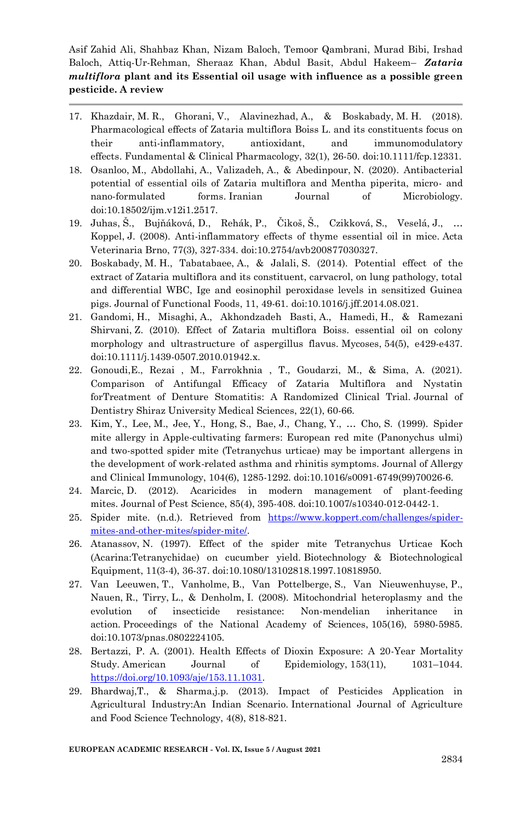- 17. Khazdair, M. R., Ghorani, V., Alavinezhad, A., & Boskabady, M. H. (2018). Pharmacological effects of Zataria multiflora Boiss L. and its constituents focus on their anti-inflammatory, antioxidant, and immunomodulatory effects. Fundamental & Clinical Pharmacology, 32(1), 26-50. doi:10.1111/fcp.12331.
- 18. Osanloo, M., Abdollahi, A., Valizadeh, A., & Abedinpour, N. (2020). Antibacterial potential of essential oils of Zataria multiflora and Mentha piperita, micro- and nano-formulated forms. Iranian Journal of Microbiology. doi:10.18502/ijm.v12i1.2517.
- 19. Juhas, Š., Bujňáková, D., Rehák, P., Čikoš, Š., Czikková, S., Veselá, J., … Koppel, J. (2008). Anti-inflammatory effects of thyme essential oil in mice. Acta Veterinaria Brno, 77(3), 327-334. doi:10.2754/avb200877030327.
- 20. Boskabady, M. H., Tabatabaee, A., & Jalali, S. (2014). Potential effect of the extract of Zataria multiflora and its constituent, carvacrol, on lung pathology, total and differential WBC, Ige and eosinophil peroxidase levels in sensitized Guinea pigs. Journal of Functional Foods, 11, 49-61. doi:10.1016/j.jff.2014.08.021.
- 21. Gandomi, H., Misaghi, A., Akhondzadeh Basti, A., Hamedi, H., & Ramezani Shirvani, Z. (2010). Effect of Zataria multiflora Boiss. essential oil on colony morphology and ultrastructure of aspergillus flavus. Mycoses, 54(5), e429-e437. doi:10.1111/j.1439-0507.2010.01942.x.
- 22. Gonoudi,E., Rezai , M., Farrokhnia , T., Goudarzi, M., & Sima, A. (2021). Comparison of Antifungal Efficacy of Zataria Multiflora and Nystatin forTreatment of Denture Stomatitis: A Randomized Clinical Trial. Journal of Dentistry Shiraz University Medical Sciences, 22(1), 60-66.
- 23. Kim, Y., Lee, M., Jee, Y., Hong, S., Bae, J., Chang, Y., … Cho, S. (1999). Spider mite allergy in Apple-cultivating farmers: European red mite (Panonychus ulmi) and two-spotted spider mite (Tetranychus urticae) may be important allergens in the development of work-related asthma and rhinitis symptoms. Journal of Allergy and Clinical Immunology, 104(6), 1285-1292. doi:10.1016/s0091-6749(99)70026-6.
- 24. Marcic, D. (2012). Acaricides in modern management of plant-feeding mites. Journal of Pest Science, 85(4), 395-408. doi:10.1007/s10340-012-0442-1.
- 25. Spider mite. (n.d.). Retrieved from [https://www.koppert.com/challenges/spider](https://www.koppert.com/challenges/spider-mites-and-other-mites/spider-mite/)[mites-and-other-mites/spider-mite/.](https://www.koppert.com/challenges/spider-mites-and-other-mites/spider-mite/)
- 26. Atanassov, N. (1997). Effect of the spider mite Tetranychus Urticae Koch (Acarina:Tetranychidae) on cucumber yield. Biotechnology & Biotechnological Equipment, 11(3-4), 36-37. doi:10.1080/13102818.1997.10818950.
- 27. Van Leeuwen, T., Vanholme, B., Van Pottelberge, S., Van Nieuwenhuyse, P., Nauen, R., Tirry, L., & Denholm, I. (2008). Mitochondrial heteroplasmy and the evolution of insecticide resistance: Non-mendelian inheritance in action. Proceedings of the National Academy of Sciences, 105(16), 5980-5985. doi:10.1073/pnas.0802224105.
- 28. Bertazzi, P. A. (2001). Health Effects of Dioxin Exposure: A 20-Year Mortality Study. American Journal of Epidemiology, 153(11), 1031–1044. [https://doi.org/10.1093/aje/153.11.1031.](https://doi.org/10.1093/aje/153.11.1031)
- 29. Bhardwaj,T., & Sharma,j.p. (2013). Impact of Pesticides Application in Agricultural Industry:An Indian Scenario. International Journal of Agriculture and Food Science Technology, 4(8), 818-821.